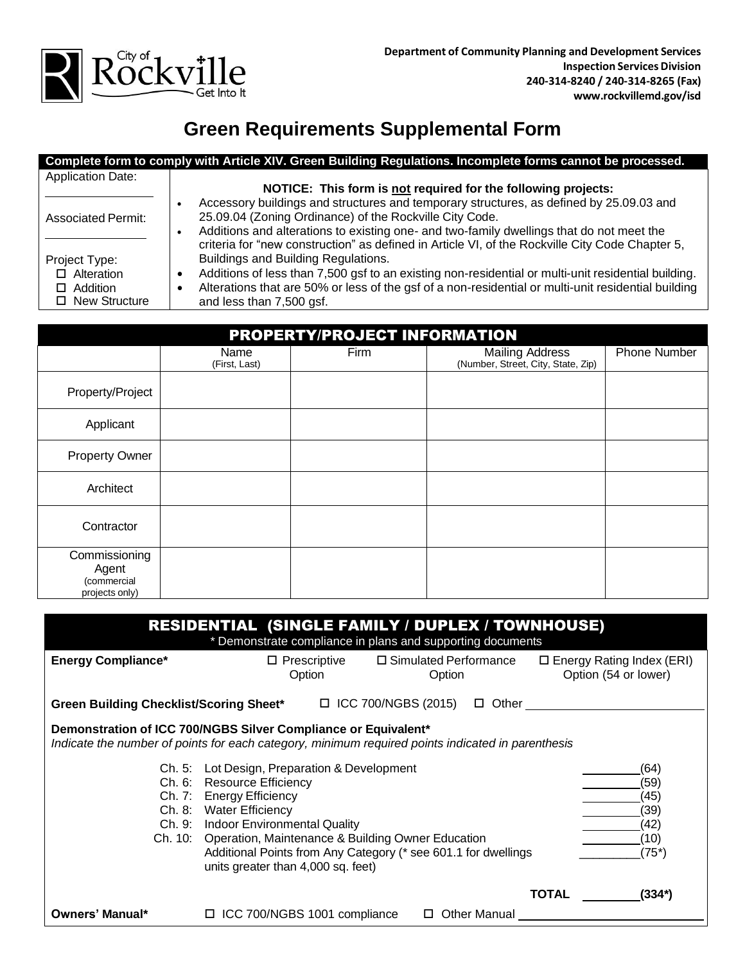

## **Green Requirements Supplemental Form**

|                           | Complete form to comply with Article XIV. Green Building Regulations. Incomplete forms cannot be processed.       |
|---------------------------|-------------------------------------------------------------------------------------------------------------------|
| <b>Application Date:</b>  |                                                                                                                   |
|                           | NOTICE: This form is not required for the following projects:                                                     |
|                           | Accessory buildings and structures and temporary structures, as defined by 25.09.03 and                           |
| <b>Associated Permit:</b> | 25.09.04 (Zoning Ordinance) of the Rockville City Code.                                                           |
|                           | Additions and alterations to existing one- and two-family dwellings that do not meet the                          |
|                           | criteria for "new construction" as defined in Article VI, of the Rockville City Code Chapter 5,                   |
| Project Type:             | Buildings and Building Regulations.                                                                               |
| $\Box$ Alteration         | Additions of less than 7,500 gsf to an existing non-residential or multi-unit residential building.<br>G          |
| Addition                  | Alterations that are 50% or less of the gsf of a non-residential or multi-unit residential building<br>$\epsilon$ |
| □ New Structure           | and less than 7,500 gsf.                                                                                          |
|                           |                                                                                                                   |

| <b>PROPERTY/PROJECT INFORMATION</b>                     |                       |      |                                                       |                     |  |  |  |
|---------------------------------------------------------|-----------------------|------|-------------------------------------------------------|---------------------|--|--|--|
|                                                         | Name<br>(First, Last) | Firm | Mailing Address<br>(Number, Street, City, State, Zip) | <b>Phone Number</b> |  |  |  |
| Property/Project                                        |                       |      |                                                       |                     |  |  |  |
| Applicant                                               |                       |      |                                                       |                     |  |  |  |
| <b>Property Owner</b>                                   |                       |      |                                                       |                     |  |  |  |
| Architect                                               |                       |      |                                                       |                     |  |  |  |
| Contractor                                              |                       |      |                                                       |                     |  |  |  |
| Commissioning<br>Agent<br>(commercial<br>projects only) |                       |      |                                                       |                     |  |  |  |

| <b>RESIDENTIAL (SINGLE FAMILY / DUPLEX / TOWNHOUSE)</b><br>* Demonstrate compliance in plans and supporting documents                                               |                                                                                                                                                                                                                                                                                                                                               |                                                            |                |                                                          |  |  |  |
|---------------------------------------------------------------------------------------------------------------------------------------------------------------------|-----------------------------------------------------------------------------------------------------------------------------------------------------------------------------------------------------------------------------------------------------------------------------------------------------------------------------------------------|------------------------------------------------------------|----------------|----------------------------------------------------------|--|--|--|
| <b>Energy Compliance*</b>                                                                                                                                           | Option                                                                                                                                                                                                                                                                                                                                        | $\Box$ Prescriptive $\Box$ Simulated Performance<br>Option |                | $\Box$ Energy Rating Index (ERI)<br>Option (54 or lower) |  |  |  |
|                                                                                                                                                                     | Green Building Checklist/Scoring Sheet* $\Box$ ICC 700/NGBS (2015) $\Box$ Other                                                                                                                                                                                                                                                               |                                                            |                |                                                          |  |  |  |
| Demonstration of ICC 700/NGBS Silver Compliance or Equivalent*<br>Indicate the number of points for each category, minimum required points indicated in parenthesis |                                                                                                                                                                                                                                                                                                                                               |                                                            |                |                                                          |  |  |  |
|                                                                                                                                                                     | Ch. 5: Lot Design, Preparation & Development<br>Ch. 6: Resource Efficiency<br>Ch. 7: Energy Efficiency<br>Ch. 8: Water Efficiency<br>Ch. 9: Indoor Environmental Quality<br>Ch. 10: Operation, Maintenance & Building Owner Education<br>Additional Points from Any Category (* see 601.1 for dwellings<br>units greater than 4,000 sq. feet) |                                                            |                | (64)<br>(59)<br>(45)<br>(39)<br>(42)<br>(10)<br>$(75^*)$ |  |  |  |
| Owners' Manual*                                                                                                                                                     | $\Box$ ICC 700/NGBS 1001 compliance                                                                                                                                                                                                                                                                                                           |                                                            | □ Other Manual | <b>TOTAL</b><br>$(334*)$                                 |  |  |  |